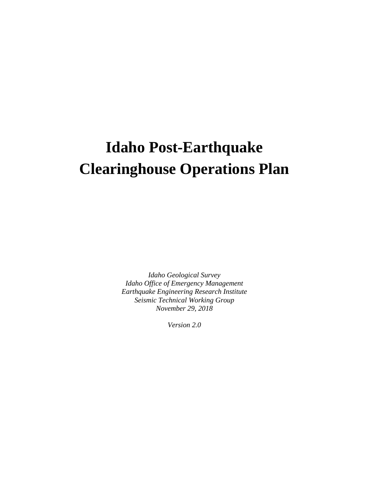# **Idaho Post-Earthquake Clearinghouse Operations Plan**

*Idaho Geological Survey Idaho Office of Emergency Management Earthquake Engineering Research Institute Seismic Technical Working Group November 29, 2018*

*Version 2.0*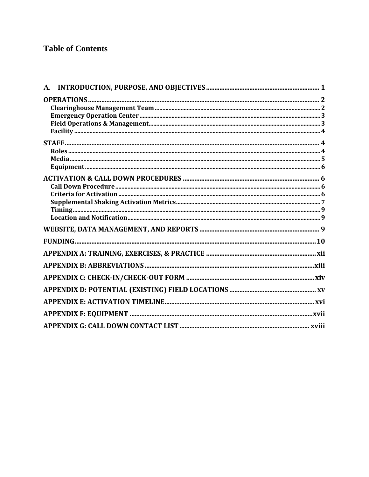# **Table of Contents**

| ${\bf A}$ |  |
|-----------|--|
|           |  |
|           |  |
|           |  |
|           |  |
|           |  |
|           |  |
|           |  |
|           |  |
|           |  |
|           |  |
|           |  |
|           |  |
|           |  |
|           |  |
|           |  |
|           |  |
|           |  |
|           |  |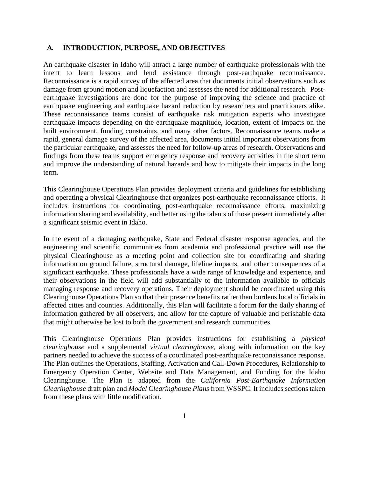#### <span id="page-2-0"></span>**A. INTRODUCTION, PURPOSE, AND OBJECTIVES**

An earthquake disaster in Idaho will attract a large number of earthquake professionals with the intent to learn lessons and lend assistance through post-earthquake reconnaissance. Reconnaissance is a rapid survey of the affected area that documents initial observations such as damage from ground motion and liquefaction and assesses the need for additional research. Postearthquake investigations are done for the purpose of improving the science and practice of earthquake engineering and earthquake hazard reduction by researchers and practitioners alike. These reconnaissance teams consist of earthquake risk mitigation experts who investigate earthquake impacts depending on the earthquake magnitude, location, extent of impacts on the built environment, funding constraints, and many other factors. Reconnaissance teams make a rapid, general damage survey of the affected area, documents initial important observations from the particular earthquake, and assesses the need for follow-up areas of research. Observations and findings from these teams support emergency response and recovery activities in the short term and improve the understanding of natural hazards and how to mitigate their impacts in the long term.

This Clearinghouse Operations Plan provides deployment criteria and guidelines for establishing and operating a physical Clearinghouse that organizes post-earthquake reconnaissance efforts. It includes instructions for coordinating post-earthquake reconnaissance efforts, maximizing information sharing and availability, and better using the talents of those present immediately after a significant seismic event in Idaho.

In the event of a damaging earthquake, State and Federal disaster response agencies, and the engineering and scientific communities from academia and professional practice will use the physical Clearinghouse as a meeting point and collection site for coordinating and sharing information on ground failure, structural damage, lifeline impacts, and other consequences of a significant earthquake. These professionals have a wide range of knowledge and experience, and their observations in the field will add substantially to the information available to officials managing response and recovery operations. Their deployment should be coordinated using this Clearinghouse Operations Plan so that their presence benefits rather than burdens local officials in affected cities and counties. Additionally, this Plan will facilitate a forum for the daily sharing of information gathered by all observers, and allow for the capture of valuable and perishable data that might otherwise be lost to both the government and research communities.

This Clearinghouse Operations Plan provides instructions for establishing a *physical clearinghouse* and a supplemental *virtual clearinghouse*, along with information on the key partners needed to achieve the success of a coordinated post-earthquake reconnaissance response. The Plan outlines the Operations, Staffing, Activation and Call-Down Procedures, Relationship to Emergency Operation Center, Website and Data Management, and Funding for the Idaho Clearinghouse. The Plan is adapted from the *California Post-Earthquake Information Clearinghouse* draft plan and *Model Clearinghouse Plans* from WSSPC. It includes sections taken from these plans with little modification.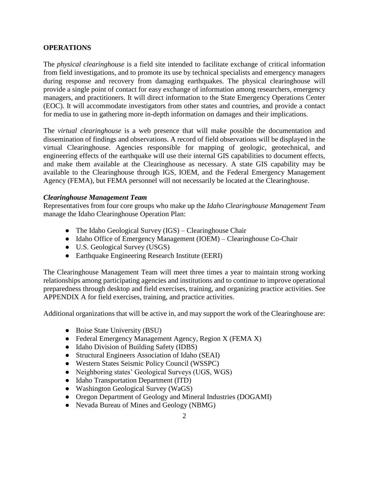#### <span id="page-3-0"></span>**OPERATIONS**

The *physical clearinghouse* is a field site intended to facilitate exchange of critical information from field investigations, and to promote its use by technical specialists and emergency managers during response and recovery from damaging earthquakes. The physical clearinghouse will provide a single point of contact for easy exchange of information among researchers, emergency managers, and practitioners. It will direct information to the State Emergency Operations Center (EOC). It will accommodate investigators from other states and countries, and provide a contact for media to use in gathering more in-depth information on damages and their implications.

The *virtual clearinghouse* is a web presence that will make possible the documentation and dissemination of findings and observations. A record of field observations will be displayed in the virtual Clearinghouse. Agencies responsible for mapping of geologic, geotechnical, and engineering effects of the earthquake will use their internal GIS capabilities to document effects, and make them available at the Clearinghouse as necessary. A state GIS capability may be available to the Clearinghouse through IGS, IOEM, and the Federal Emergency Management Agency (FEMA), but FEMA personnel will not necessarily be located at the Clearinghouse.

#### <span id="page-3-1"></span>*Clearinghouse Management Team*

Representatives from four core groups who make up the *Idaho Clearinghouse Management Team* manage the Idaho Clearinghouse Operation Plan:

- The Idaho Geological Survey (IGS) Clearinghouse Chair
- Idaho Office of Emergency Management (IOEM) Clearinghouse Co-Chair
- U.S. Geological Survey (USGS)
- Earthquake Engineering Research Institute (EERI)

The Clearinghouse Management Team will meet three times a year to maintain strong working relationships among participating agencies and institutions and to continue to improve operational preparedness through desktop and field exercises, training, and organizing practice activities. See APPENDIX A for field exercises, training, and practice activities.

Additional organizations that will be active in, and may support the work of the Clearinghouse are:

- Boise State University (BSU)
- Federal Emergency Management Agency, Region X (FEMA X)
- Idaho Division of Building Safety (IDBS)
- Structural Engineers Association of Idaho (SEAI)
- Western States Seismic Policy Council (WSSPC)
- Neighboring states' Geological Surveys (UGS, WGS)
- Idaho Transportation Department (ITD)
- Washington Geological Survey (WaGS)
- Oregon Department of Geology and Mineral Industries (DOGAMI)
- Nevada Bureau of Mines and Geology (NBMG)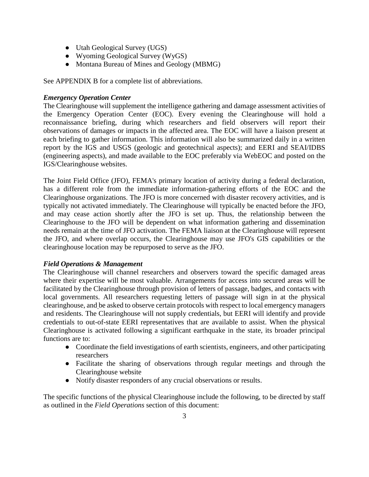- Utah Geological Survey (UGS)
- Wyoming Geological Survey (WyGS)
- Montana Bureau of Mines and Geology (MBMG)

See APPENDIX B for a complete list of abbreviations.

## <span id="page-4-0"></span>*Emergency Operation Center*

The Clearinghouse will supplement the intelligence gathering and damage assessment activities of the Emergency Operation Center (EOC). Every evening the Clearinghouse will hold a reconnaissance briefing, during which researchers and field observers will report their observations of damages or impacts in the affected area. The EOC will have a liaison present at each briefing to gather information. This information will also be summarized daily in a written report by the IGS and USGS (geologic and geotechnical aspects); and EERI and SEAI/IDBS (engineering aspects), and made available to the EOC preferably via WebEOC and posted on the IGS/Clearinghouse websites.

The Joint Field Office (JFO), FEMA's primary location of activity during a federal declaration, has a different role from the immediate information-gathering efforts of the EOC and the Clearinghouse organizations. The JFO is more concerned with disaster recovery activities, and is typically not activated immediately. The Clearinghouse will typically be enacted before the JFO, and may cease action shortly after the JFO is set up. Thus, the relationship between the Clearinghouse to the JFO will be dependent on what information gathering and dissemination needs remain at the time of JFO activation. The FEMA liaison at the Clearinghouse will represent the JFO, and where overlap occurs, the Clearinghouse may use JFO's GIS capabilities or the clearinghouse location may be repurposed to serve as the JFO.

#### <span id="page-4-1"></span>*Field Operations & Management*

The Clearinghouse will channel researchers and observers toward the specific damaged areas where their expertise will be most valuable. Arrangements for access into secured areas will be facilitated by the Clearinghouse through provision of letters of passage, badges, and contacts with local governments. All researchers requesting letters of passage will sign in at the physical clearinghouse, and be asked to observe certain protocols with respect to local emergency managers and residents. The Clearinghouse will not supply credentials, but EERI will identify and provide credentials to out-of-state EERI representatives that are available to assist. When the physical Clearinghouse is activated following a significant earthquake in the state, its broader principal functions are to:

- Coordinate the field investigations of earth scientists, engineers, and other participating researchers
- Facilitate the sharing of observations through regular meetings and through the Clearinghouse website
- Notify disaster responders of any crucial observations or results.

The specific functions of the physical Clearinghouse include the following, to be directed by staff as outlined in the *Field Operations* section of this document: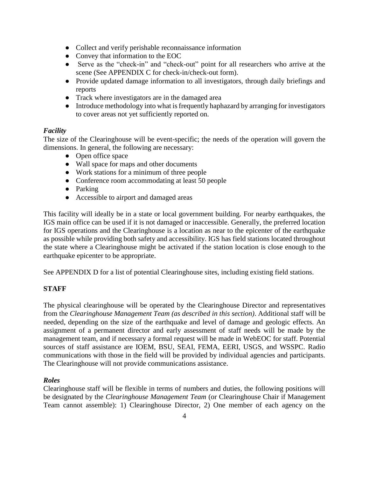- Collect and verify perishable reconnaissance information
- Convey that information to the EOC
- Serve as the "check-in" and "check-out" point for all researchers who arrive at the scene (See APPENDIX C for check-in/check-out form).
- Provide updated damage information to all investigators, through daily briefings and reports
- Track where investigators are in the damaged area
- Introduce methodology into what is frequently haphazard by arranging for investigators to cover areas not yet sufficiently reported on.

#### <span id="page-5-0"></span>*Facility*

The size of the Clearinghouse will be event-specific; the needs of the operation will govern the dimensions. In general, the following are necessary:

- Open office space
- Wall space for maps and other documents
- Work stations for a minimum of three people
- Conference room accommodating at least 50 people
- Parking
- Accessible to airport and damaged areas

This facility will ideally be in a state or local government building. For nearby earthquakes, the IGS main office can be used if it is not damaged or inaccessible. Generally, the preferred location for IGS operations and the Clearinghouse is a location as near to the epicenter of the earthquake as possible while providing both safety and accessibility. IGS has field stations located throughout the state where a Clearinghouse might be activated if the station location is close enough to the earthquake epicenter to be appropriate.

See APPENDIX D for a list of potential Clearinghouse sites, including existing field stations.

#### <span id="page-5-1"></span>**STAFF**

The physical clearinghouse will be operated by the Clearinghouse Director and representatives from the *Clearinghouse Management Team (as described in this section)*. Additional staff will be needed, depending on the size of the earthquake and level of damage and geologic effects. An assignment of a permanent director and early assessment of staff needs will be made by the management team, and if necessary a formal request will be made in WebEOC for staff. Potential sources of staff assistance are IOEM, BSU, SEAI, FEMA, EERI, USGS, and WSSPC. Radio communications with those in the field will be provided by individual agencies and participants. The Clearinghouse will not provide communications assistance.

#### <span id="page-5-2"></span>*Roles*

Clearinghouse staff will be flexible in terms of numbers and duties, the following positions will be designated by the *Clearinghouse Management Team* (or Clearinghouse Chair if Management Team cannot assemble): 1) Clearinghouse Director, 2) One member of each agency on the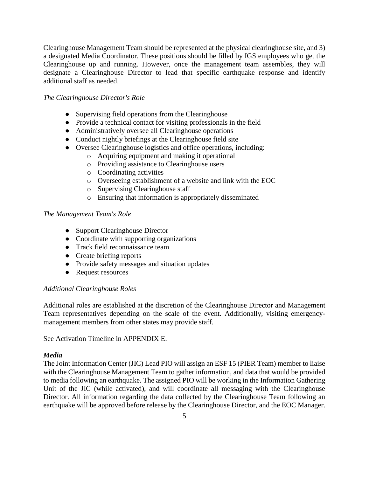Clearinghouse Management Team should be represented at the physical clearinghouse site, and 3) a designated Media Coordinator. These positions should be filled by IGS employees who get the Clearinghouse up and running. However, once the management team assembles, they will designate a Clearinghouse Director to lead that specific earthquake response and identify additional staff as needed.

#### *The Clearinghouse Director's Role*

- Supervising field operations from the Clearinghouse
- Provide a technical contact for visiting professionals in the field
- Administratively oversee all Clearinghouse operations
- Conduct nightly briefings at the Clearinghouse field site
- Oversee Clearinghouse logistics and office operations, including:
	- o Acquiring equipment and making it operational
		- o Providing assistance to Clearinghouse users
		- o Coordinating activities
		- o Overseeing establishment of a website and link with the EOC
		- o Supervising Clearinghouse staff
		- o Ensuring that information is appropriately disseminated

#### *The Management Team's Role*

- Support Clearinghouse Director
- Coordinate with supporting organizations
- Track field reconnaissance team
- Create briefing reports
- Provide safety messages and situation updates
- Request resources

#### *Additional Clearinghouse Roles*

Additional roles are established at the discretion of the Clearinghouse Director and Management Team representatives depending on the scale of the event. Additionally, visiting emergencymanagement members from other states may provide staff.

See Activation Timeline in APPENDIX E.

#### <span id="page-6-0"></span>*Media*

The Joint Information Center (JIC) Lead PIO will assign an ESF 15 (PIER Team) member to liaise with the Clearinghouse Management Team to gather information, and data that would be provided to media following an earthquake. The assigned PIO will be working in the Information Gathering Unit of the JIC (while activated), and will coordinate all messaging with the Clearinghouse Director. All information regarding the data collected by the Clearinghouse Team following an earthquake will be approved before release by the Clearinghouse Director, and the EOC Manager.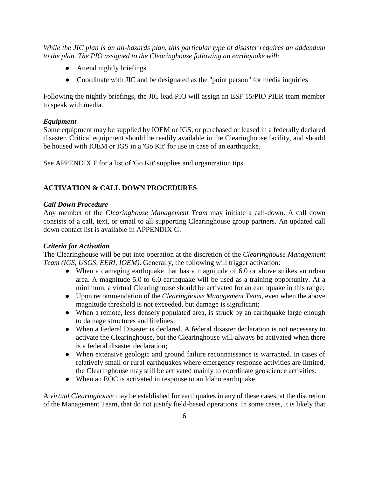*While the JIC plan is an all-hazards plan, this particular type of disaster requires an addendum to the plan. The PIO assigned to the Clearinghouse following an earthquake will:*

- Attend nightly briefings
- Coordinate with JIC and be designated as the "point person" for media inquiries

Following the nightly briefings, the JIC lead PIO will assign an ESF 15/PIO PIER team member to speak with media.

## <span id="page-7-0"></span>*Equipment*

Some equipment may be supplied by IOEM or IGS, or purchased or leased in a federally declared disaster. Critical equipment should be readily available in the Clearinghouse facility, and should be housed with IOEM or IGS in a 'Go Kit' for use in case of an earthquake.

See APPENDIX F for a list of 'Go Kit' supplies and organization tips.

## <span id="page-7-1"></span>**ACTIVATION & CALL DOWN PROCEDURES**

## <span id="page-7-2"></span>*Call Down Procedure*

Any member of the *Clearinghouse Management Team* may initiate a call-down. A call down consists of a call, text, or email to all supporting Clearinghouse group partners. An updated call down contact list is available in APPENDIX G.

#### <span id="page-7-3"></span>*Criteria for Activation*

The Clearinghouse will be put into operation at the discretion of the *Clearinghouse Management Team (IGS, USGS, EERI, IOEM)*. Generally, the following will trigger activation:

- When a damaging earthquake that has a magnitude of 6.0 or above strikes an urban area. A magnitude 5.0 to 6.0 earthquake will be used as a training opportunity. At a minimum, a virtual Clearinghouse should be activated for an earthquake in this range;
- Upon recommendation of the *Clearinghouse Management Team*, even when the above magnitude threshold is not exceeded, but damage is significant;
- When a remote, less densely populated area, is struck by an earthquake large enough to damage structures and lifelines;
- When a Federal Disaster is declared. A federal disaster declaration is not necessary to activate the Clearinghouse, but the Clearinghouse will always be activated when there is a federal disaster declaration;
- When extensive geologic and ground failure reconnaissance is warranted. In cases of relatively small or rural earthquakes where emergency response activities are limited, the Clearinghouse may still be activated mainly to coordinate geoscience activities;
- When an EOC is activated in response to an Idaho earthquake.

A *virtual Clearinghouse* may be established for earthquakes in any of these cases, at the discretion of the Management Team, that do not justify field-based operations. In some cases, it is likely that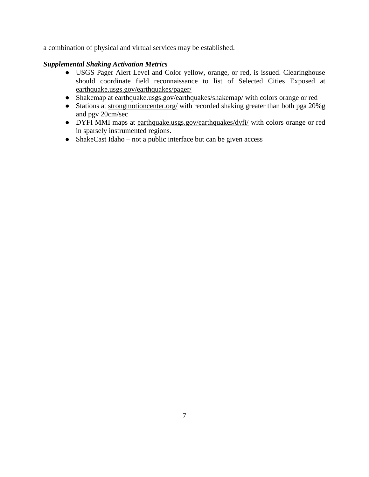a combination of physical and virtual services may be established.

## <span id="page-8-0"></span>*Supplemental Shaking Activation Metrics*

- USGS Pager Alert Level and Color yellow, orange, or red, is issued. Clearinghouse should coordinate field reconnaissance to list of Selected Cities Exposed at [earthquake.usgs.gov/earthquakes/pager/](http://earthquake.usgs.gov/earthquakes/pager/)
- Shakemap at [earthquake.usgs.gov/earthquakes/shakemap/](http://earthquake.usgs.gov/earthquakes/shakemap/) with colors orange or red
- Stations at [strongmotioncenter.org/](http://strongmotioncenter.org/) with recorded shaking greater than both pga 20%g and pgv 20cm/sec
- DYFI MMI maps at [earthquake.usgs.gov/earthquakes/dyfi/](http://earthquake.usgs.gov/earthquakes/dyfi/) with colors orange or red in sparsely instrumented regions.
- $\bullet$  ShakeCast Idaho not a public interface but can be given access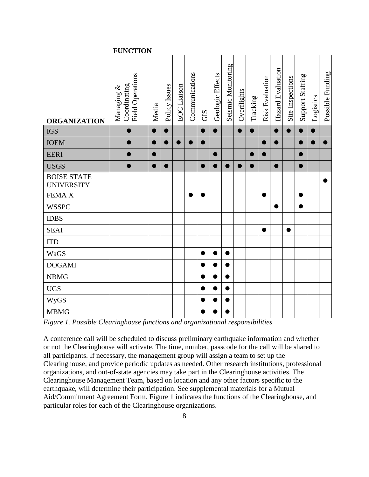|                                         | <b>FUNCTION</b>                                |       |               |                    |                |     |                  |                    |             |           |                 |                   |                  |                  |           |                  |
|-----------------------------------------|------------------------------------------------|-------|---------------|--------------------|----------------|-----|------------------|--------------------|-------------|-----------|-----------------|-------------------|------------------|------------------|-----------|------------------|
| <b>ORGANIZATION</b>                     | Field Operations<br>Coordinating<br>Managing & | Media | Policy Issues | <b>EOC</b> Liaison | Communications | GIS | Geologic Effects | Seismic Monitoring | Overflights | Tracking  | Risk Evaluation | Hazard Evaluation | Site Inspections | Support Staffing | Logistics | Possible Funding |
| <b>IGS</b>                              | $\bullet$                                      |       |               |                    |                |     | $\bullet$        |                    | D           | $\bullet$ |                 | $\bullet$         |                  |                  |           |                  |
| <b>IOEM</b>                             | ●                                              |       |               | ●                  | ●              |     |                  |                    |             |           | ●               | $\bullet$         |                  |                  |           | ●                |
| <b>EERI</b>                             | $\bullet$                                      |       |               |                    |                |     | Œ                |                    |             | 0         |                 |                   |                  |                  |           |                  |
| <b>USGS</b>                             | $\bullet$                                      |       |               |                    |                |     |                  |                    |             | ●         |                 | ●                 |                  |                  |           |                  |
| <b>BOISE STATE</b><br><b>UNIVERSITY</b> |                                                |       |               |                    |                |     |                  |                    |             |           |                 |                   |                  |                  |           |                  |
| FEMA X                                  |                                                |       |               |                    |                |     |                  |                    |             |           |                 |                   |                  | ●                |           |                  |
| <b>WSSPC</b>                            |                                                |       |               |                    |                |     |                  |                    |             |           |                 | $\bullet$         |                  |                  |           |                  |
| <b>IDBS</b>                             |                                                |       |               |                    |                |     |                  |                    |             |           |                 |                   |                  |                  |           |                  |
| <b>SEAI</b>                             |                                                |       |               |                    |                |     |                  |                    |             |           | ●               |                   | ●                |                  |           |                  |
| <b>ITD</b>                              |                                                |       |               |                    |                |     |                  |                    |             |           |                 |                   |                  |                  |           |                  |
| WaGS                                    |                                                |       |               |                    |                |     |                  |                    |             |           |                 |                   |                  |                  |           |                  |
| <b>DOGAMI</b>                           |                                                |       |               |                    |                |     |                  |                    |             |           |                 |                   |                  |                  |           |                  |
| <b>NBMG</b>                             |                                                |       |               |                    |                |     |                  |                    |             |           |                 |                   |                  |                  |           |                  |
| <b>UGS</b>                              |                                                |       |               |                    |                |     |                  |                    |             |           |                 |                   |                  |                  |           |                  |
| WyGS                                    |                                                |       |               |                    |                |     |                  |                    |             |           |                 |                   |                  |                  |           |                  |
| <b>MBMG</b>                             |                                                |       |               |                    |                |     |                  |                    |             |           |                 |                   |                  |                  |           |                  |

*Figure 1. Possible Clearinghouse functions and organizational responsibilities*

A conference call will be scheduled to discuss preliminary earthquake information and whether or not the Clearinghouse will activate. The time, number, passcode for the call will be shared to all participants. If necessary, the management group will assign a team to set up the Clearinghouse, and provide periodic updates as needed. Other research institutions, professional organizations, and out-of-state agencies may take part in the Clearinghouse activities. The Clearinghouse Management Team, based on location and any other factors specific to the earthquake, will determine their participation. See supplemental materials for a Mutual Aid/Commitment Agreement Form. Figure 1 indicates the functions of the Clearinghouse, and particular roles for each of the Clearinghouse organizations.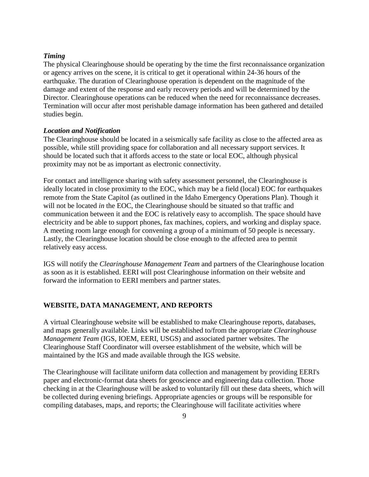#### <span id="page-10-0"></span>*Timing*

The physical Clearinghouse should be operating by the time the first reconnaissance organization or agency arrives on the scene, it is critical to get it operational within 24-36 hours of the earthquake. The duration of Clearinghouse operation is dependent on the magnitude of the damage and extent of the response and early recovery periods and will be determined by the Director. Clearinghouse operations can be reduced when the need for reconnaissance decreases. Termination will occur after most perishable damage information has been gathered and detailed studies begin.

#### <span id="page-10-1"></span>*Location and Notification*

The Clearinghouse should be located in a seismically safe facility as close to the affected area as possible, while still providing space for collaboration and all necessary support services. It should be located such that it affords access to the state or local EOC, although physical proximity may not be as important as electronic connectivity.

For contact and intelligence sharing with safety assessment personnel, the Clearinghouse is ideally located in close proximity to the EOC, which may be a field (local) EOC for earthquakes remote from the State Capitol (as outlined in the Idaho Emergency Operations Plan). Though it will not be located *in* the EOC, the Clearinghouse should be situated so that traffic and communication between it and the EOC is relatively easy to accomplish. The space should have electricity and be able to support phones, fax machines, copiers, and working and display space. A meeting room large enough for convening a group of a minimum of 50 people is necessary. Lastly, the Clearinghouse location should be close enough to the affected area to permit relatively easy access.

IGS will notify the *Clearinghouse Management Team* and partners of the Clearinghouse location as soon as it is established. EERI will post Clearinghouse information on their website and forward the information to EERI members and partner states.

#### <span id="page-10-2"></span>**WEBSITE, DATA MANAGEMENT, AND REPORTS**

A virtual Clearinghouse website will be established to make Clearinghouse reports, databases, and maps generally available. Links will be established to/from the appropriate *Clearinghouse Management Team* (IGS, IOEM, EERI, USGS) and associated partner websites. The Clearinghouse Staff Coordinator will oversee establishment of the website, which will be maintained by the IGS and made available through the IGS website.

The Clearinghouse will facilitate uniform data collection and management by providing EERI's paper and electronic-format data sheets for geoscience and engineering data collection. Those checking in at the Clearinghouse will be asked to voluntarily fill out these data sheets, which will be collected during evening briefings. Appropriate agencies or groups will be responsible for compiling databases, maps, and reports; the Clearinghouse will facilitate activities where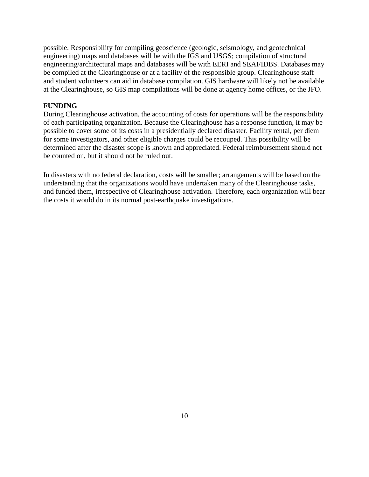possible. Responsibility for compiling geoscience (geologic, seismology, and geotechnical engineering) maps and databases will be with the IGS and USGS; compilation of structural engineering/architectural maps and databases will be with EERI and SEAI/IDBS. Databases may be compiled at the Clearinghouse or at a facility of the responsible group. Clearinghouse staff and student volunteers can aid in database compilation. GIS hardware will likely not be available at the Clearinghouse, so GIS map compilations will be done at agency home offices, or the JFO.

#### <span id="page-11-0"></span>**FUNDING**

During Clearinghouse activation, the accounting of costs for operations will be the responsibility of each participating organization. Because the Clearinghouse has a response function, it may be possible to cover some of its costs in a presidentially declared disaster. Facility rental, per diem for some investigators, and other eligible charges could be recouped. This possibility will be determined after the disaster scope is known and appreciated. Federal reimbursement should not be counted on, but it should not be ruled out.

In disasters with no federal declaration, costs will be smaller; arrangements will be based on the understanding that the organizations would have undertaken many of the Clearinghouse tasks, and funded them, irrespective of Clearinghouse activation. Therefore, each organization will bear the costs it would do in its normal post-earthquake investigations.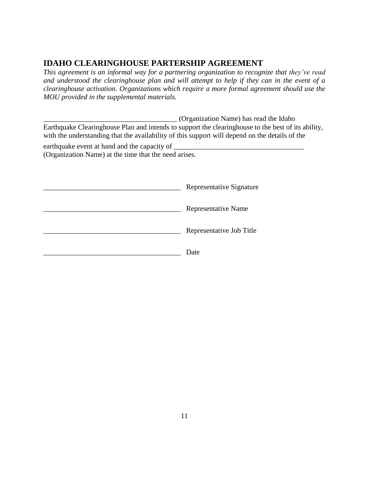# **IDAHO CLEARINGHOUSE PARTERSHIP AGREEMENT**

*This agreement is an informal way for a partnering organization to recognize that they've read and understood the clearinghouse plan and will attempt to help if they can in the event of a clearinghouse activation. Organizations which require a more formal agreement should use the MOU provided in the supplemental materials.*

|                                                                                                       | (Organization Name) has read the Idaho<br>Earthquake Clearinghouse Plan and intends to support the clearinghouse to the best of its ability,<br>with the understanding that the availability of this support will depend on the details of the |  |  |  |  |  |  |
|-------------------------------------------------------------------------------------------------------|------------------------------------------------------------------------------------------------------------------------------------------------------------------------------------------------------------------------------------------------|--|--|--|--|--|--|
| earthquake event at hand and the capacity of<br>(Organization Name) at the time that the need arises. |                                                                                                                                                                                                                                                |  |  |  |  |  |  |
|                                                                                                       | Representative Signature                                                                                                                                                                                                                       |  |  |  |  |  |  |
|                                                                                                       | Representative Name                                                                                                                                                                                                                            |  |  |  |  |  |  |

\_\_\_\_\_\_\_\_\_\_\_\_\_\_\_\_\_\_\_\_\_\_\_\_\_\_\_\_\_\_\_\_\_\_\_\_\_\_ Representative Job Title

\_\_\_\_\_\_\_\_\_\_\_\_\_\_\_\_\_\_\_\_\_\_\_\_\_\_\_\_\_\_\_\_\_\_\_\_\_\_ Date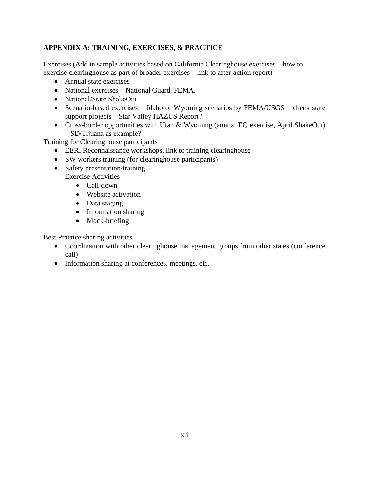## <span id="page-13-0"></span>**APPENDIX A: TRAINING, EXERCISES, & PRACTICE**

Exercises (Add in sample activities based on California Clearinghouse exercises – how to exercise clearinghouse as part of broader exercises – link to after-action report)

- Annual state exercises
- National exercises National Guard, FEMA,
- National/State ShakeOut
- Scenario-based exercises Idaho or Wyoming scenarios by FEMA/USGS check state support projects – Star Valley HAZUS Report?
- Cross-border opportunities with Utah & Wyoming (annual EQ exercise, April ShakeOut) – SD/Tijuana as example?

Training for Clearinghouse participants

- EERI Reconnaissance workshops, link to training clearinghouse
- SW workers training (for clearinghouse participants)
- Safety presentation/training Exercise Activities
	- Call-down
	- Website activation
	- Data staging
	- Information sharing
	- Mock-briefing

Best Practice sharing activities

- Coordination with other clearinghouse management groups from other states (conference call)
- Information sharing at conferences, meetings, etc.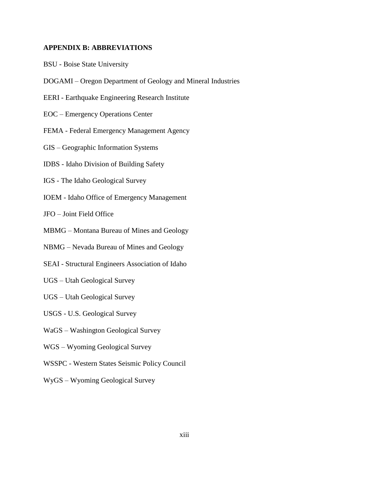#### <span id="page-14-0"></span>**APPENDIX B: ABBREVIATIONS**

- BSU Boise State University
- DOGAMI Oregon Department of Geology and Mineral Industries
- EERI Earthquake Engineering Research Institute
- EOC Emergency Operations Center
- FEMA Federal Emergency Management Agency
- GIS Geographic Information Systems
- IDBS Idaho Division of Building Safety
- IGS The Idaho Geological Survey
- IOEM Idaho Office of Emergency Management

JFO – Joint Field Office

- MBMG Montana Bureau of Mines and Geology
- NBMG Nevada Bureau of Mines and Geology
- SEAI Structural Engineers Association of Idaho
- UGS Utah Geological Survey
- UGS Utah Geological Survey
- USGS U.S. Geological Survey
- WaGS Washington Geological Survey
- WGS Wyoming Geological Survey
- WSSPC Western States Seismic Policy Council
- WyGS Wyoming Geological Survey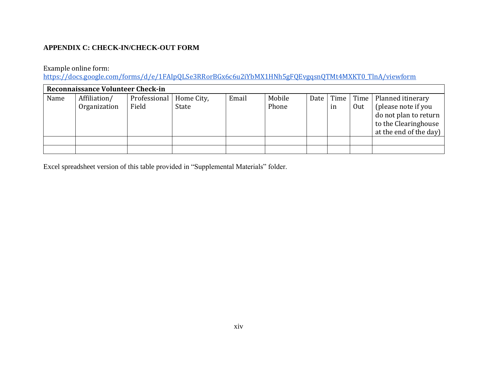## **APPENDIX C: CHECK-IN/CHECK-OUT FORM**

## Example online form:

[https://docs.google.com/forms/d/e/1FAIpQLSe3RRorBGx6c6u2iYbMX1HNh5gFQEvgqsnQTMt4MXKT0\\_TlnA/viewform](https://docs.google.com/forms/d/e/1FAIpQLSe3RRorBGx6c6u2iYbMX1HNh5gFQEvgqsnQTMt4MXKT0_TlnA/viewform)

| <b>Reconnaissance Volunteer Check-in</b> |                              |                       |                     |       |                 |  |    |     |                                                                                                                                          |  |
|------------------------------------------|------------------------------|-----------------------|---------------------|-------|-----------------|--|----|-----|------------------------------------------------------------------------------------------------------------------------------------------|--|
| Name                                     | Affiliation/<br>Organization | Professional<br>Field | Home City,<br>State | Email | Mobile<br>Phone |  | in | Out | Date   Time   Time   Planned itinerary<br>(please note if you<br>do not plan to return<br>to the Clearinghouse<br>at the end of the day) |  |
|                                          |                              |                       |                     |       |                 |  |    |     |                                                                                                                                          |  |

<span id="page-15-0"></span>Excel spreadsheet version of this table provided in "Supplemental Materials" folder.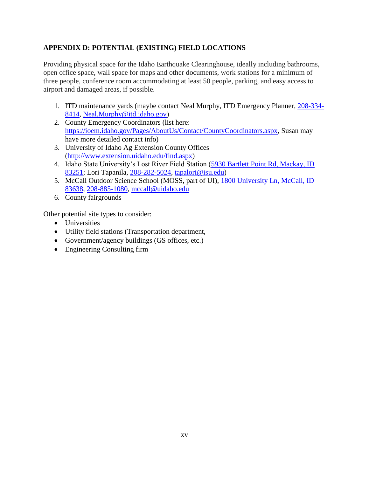## <span id="page-16-0"></span>**APPENDIX D: POTENTIAL (EXISTING) FIELD LOCATIONS**

Providing physical space for the Idaho Earthquake Clearinghouse, ideally including bathrooms, open office space, wall space for maps and other documents, work stations for a minimum of three people, conference room accommodating at least 50 people, parking, and easy access to airport and damaged areas, if possible.

- 1. ITD maintenance yards (maybe contact Neal Murphy, ITD Emergency Planner, 208-334- 8414, Neal.Murphy@itd.idaho.gov)
- 2. County Emergency Coordinators (list here: [https://ioem.idaho.gov/Pages/AboutUs/Contact/CountyCoordinators.aspx,](https://ioem.idaho.gov/Pages/AboutUs/Contact/CountyCoordinators.aspx) Susan may have more detailed contact info)
- 3. University of Idaho Ag Extension County Offices [\(http://www.extension.uidaho.edu/find.aspx\)](http://www.extension.uidaho.edu/find.aspx)
- 4. Idaho State University's Lost River Field Station [\(5930 Bartlett Point Rd, Mackay, ID](https://maps.google.com/maps?q=5930%20Bartlett%20Point%20Rd,%20Mackay,%20ID%2083251)  [83251;](https://maps.google.com/maps?q=5930%20Bartlett%20Point%20Rd,%20Mackay,%20ID%2083251) Lori Tapanila, [208-282-5024,](tel:208-282-5024) [tapalori@isu.edu\)](mailto:tapalori@isu.edu)
- 5. McCall Outdoor Science School (MOSS, part of UI), [1800 University Ln, McCall, ID](https://maps.google.com/maps?q=1800%20University%20Ln,%20McCall,%20ID%2083638)  [83638,](https://maps.google.com/maps?q=1800%20University%20Ln,%20McCall,%20ID%2083638) [208-885-1080,](tel:208-885-1080) [mccall@uidaho.edu](mailto:mccall@uidaho.edu)
- 6. County fairgrounds

Other potential site types to consider:

- Universities
- Utility field stations (Transportation department,
- Government/agency buildings (GS offices, etc.)
- Engineering Consulting firm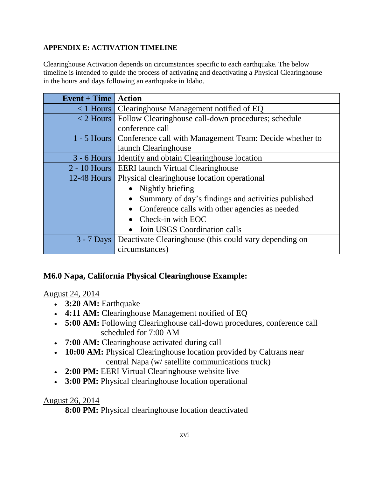## <span id="page-17-0"></span>**APPENDIX E: ACTIVATION TIMELINE**

Clearinghouse Activation depends on circumstances specific to each earthquake. The below timeline is intended to guide the process of activating and deactivating a Physical Clearinghouse in the hours and days following an earthquake in Idaho.

| $Event + Time$ | <b>Action</b>                                                         |  |  |  |  |  |  |  |
|----------------|-----------------------------------------------------------------------|--|--|--|--|--|--|--|
|                | $\langle$ 1 Hours   Clearinghouse Management notified of EQ           |  |  |  |  |  |  |  |
| $<$ 2 Hours    | Follow Clearinghouse call-down procedures; schedule                   |  |  |  |  |  |  |  |
|                | conference call                                                       |  |  |  |  |  |  |  |
|                | 1 - 5 Hours   Conference call with Management Team: Decide whether to |  |  |  |  |  |  |  |
|                | launch Clearinghouse                                                  |  |  |  |  |  |  |  |
| $3 - 6$ Hours  | Identify and obtain Clearinghouse location                            |  |  |  |  |  |  |  |
|                | 2 - 10 Hours   EERI launch Virtual Clearinghouse                      |  |  |  |  |  |  |  |
| 12-48 Hours    | Physical clearinghouse location operational                           |  |  |  |  |  |  |  |
|                | Nightly briefing                                                      |  |  |  |  |  |  |  |
|                | Summary of day's findings and activities published                    |  |  |  |  |  |  |  |
|                | Conference calls with other agencies as needed                        |  |  |  |  |  |  |  |
|                | Check-in with EOC                                                     |  |  |  |  |  |  |  |
|                | Join USGS Coordination calls<br>$\bullet$                             |  |  |  |  |  |  |  |
| $3 - 7$ Days   | Deactivate Clearinghouse (this could vary depending on                |  |  |  |  |  |  |  |
|                | circumstances)                                                        |  |  |  |  |  |  |  |

# **M6.0 Napa, California Physical Clearinghouse Example:**

# August 24, 2014

- **3:20 AM:** Earthquake
- **4:11 AM:** Clearinghouse Management notified of EQ
- **5:00 AM:** Following Clearinghouse call-down procedures, conference call scheduled for 7:00 AM
- **7:00 AM:** Clearinghouse activated during call
- **10:00 AM:** Physical Clearinghouse location provided by Caltrans near central Napa (w/ satellite communications truck)
- **2:00 PM:** EERI Virtual Clearinghouse website live
- **3:00 PM:** Physical clearinghouse location operational

# August 26, 2014

**8:00 PM:** Physical clearinghouse location deactivated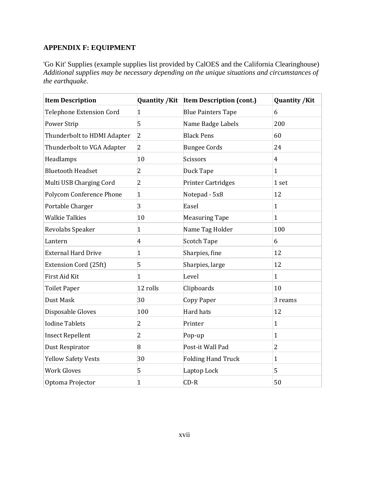## <span id="page-18-0"></span>**APPENDIX F: EQUIPMENT**

'Go Kit' Supplies (example supplies list provided by CalOES and the California Clearinghouse) *Additional supplies may be necessary depending on the unique situations and circumstances of the earthquake.*

| <b>Item Description</b>         |                | Quantity / Kit Item Description (cont.) | <b>Quantity /Kit</b> |
|---------------------------------|----------------|-----------------------------------------|----------------------|
| <b>Telephone Extension Cord</b> | $\mathbf{1}$   | <b>Blue Painters Tape</b>               | 6                    |
| Power Strip                     | 5              | Name Badge Labels                       | 200                  |
| Thunderbolt to HDMI Adapter     | $\overline{2}$ | <b>Black Pens</b>                       | 60                   |
| Thunderbolt to VGA Adapter      | $\overline{2}$ | <b>Bungee Cords</b>                     | 24                   |
| Headlamps                       | 10             | Scissors                                | $\overline{4}$       |
| <b>Bluetooth Headset</b>        | 2              | Duck Tape                               | $\mathbf{1}$         |
| Multi USB Charging Cord         | $\overline{2}$ | <b>Printer Cartridges</b>               | 1 set                |
| <b>Polycom Conference Phone</b> | $\mathbf{1}$   | Notepad - 5x8                           | 12                   |
| Portable Charger                | 3              | Easel                                   | $\mathbf{1}$         |
| <b>Walkie Talkies</b>           | 10             | <b>Measuring Tape</b>                   | $\mathbf{1}$         |
| Revolabs Speaker                | $\mathbf{1}$   | Name Tag Holder                         | 100                  |
| Lantern                         | $\overline{4}$ | <b>Scotch Tape</b>                      | 6                    |
| <b>External Hard Drive</b>      | $\mathbf{1}$   | Sharpies, fine                          | 12                   |
| Extension Cord (25ft)           | 5              | Sharpies, large                         | 12                   |
| First Aid Kit                   | $\mathbf{1}$   | Level                                   | $\mathbf{1}$         |
| <b>Toilet Paper</b>             | 12 rolls       | Clipboards                              | 10                   |
| <b>Dust Mask</b>                | 30             | Copy Paper                              | 3 reams              |
| Disposable Gloves               | 100            | Hard hats                               | 12                   |
| <b>Iodine Tablets</b>           | 2              | Printer                                 | $\mathbf{1}$         |
| <b>Insect Repellent</b>         | 2              | Pop-up                                  | $\mathbf{1}$         |
| Dust Respirator                 | 8              | Post-it Wall Pad                        | $\overline{2}$       |
| <b>Yellow Safety Vests</b>      | 30             | <b>Folding Hand Truck</b>               | $\mathbf{1}$         |
| <b>Work Gloves</b>              | 5              | Laptop Lock                             | 5                    |
| Optoma Projector                | $\mathbf{1}$   | $CD-R$                                  | 50                   |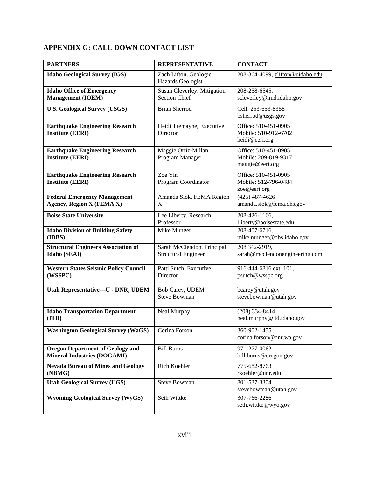# <span id="page-19-0"></span>**APPENDIX G: CALL DOWN CONTACT LIST**

| <b>PARTNERS</b>                                                               | <b>REPRESENTATIVE</b>                                    | <b>CONTACT</b>                                                  |  |  |  |
|-------------------------------------------------------------------------------|----------------------------------------------------------|-----------------------------------------------------------------|--|--|--|
| <b>Idaho Geological Survey (IGS)</b>                                          | Zach Lifton, Geologic<br>Hazards Geologist               | 208-364-4099, zlifton@uidaho.edu                                |  |  |  |
| <b>Idaho Office of Emergency</b><br><b>Management</b> (IOEM)                  | Susan Cleverley, Mitigation<br><b>Section Chief</b>      | 208-258-6545,<br>scleverley@imd.idaho.gov                       |  |  |  |
| <b>U.S. Geological Survey (USGS)</b>                                          | <b>Brian Sherrod</b>                                     | Cell: 253-653-8358<br>bsherrod@usgs.gov                         |  |  |  |
| <b>Earthquake Engineering Research</b><br><b>Institute (EERI)</b>             | Heidi Tremayne, Executive<br>Director                    | Office: 510-451-0905<br>Mobile: 510-912-6702<br>heidi@eeri.org  |  |  |  |
| <b>Earthquake Engineering Research</b><br><b>Institute (EERI)</b>             | Maggie Ortiz-Millan<br>Program Manager                   | Office: 510-451-0905<br>Mobile: 209-819-9317<br>maggie@eeri.org |  |  |  |
| <b>Earthquake Engineering Research</b><br><b>Institute (EERI)</b>             | Zoe Yin<br>Program Coordinator                           | Office: 510-451-0905<br>Mobile: 512-796-0484<br>zoe@eeri.org    |  |  |  |
| <b>Federal Emergency Management</b><br>Agency, Region X (FEMA X)              | Amanda Siok, FEMA Region<br>X                            | $(425)$ 487-4626<br>amanda.siok@fema.dhs.gov                    |  |  |  |
| <b>Boise State University</b>                                                 | Lee Liberty, Research<br>Professor                       | 208-426-1166,<br>lliberty@boisestate.edu                        |  |  |  |
| <b>Idaho Division of Building Safety</b><br>(IDBS)                            | Mike Munger                                              | 208-407-6716,<br>mike.munger@dbs.idaho.gov                      |  |  |  |
| <b>Structural Engineers Association of</b><br>Idaho (SEAI)                    | Sarah McClendon, Principal<br><b>Structural Engineer</b> | 208 342-2919,<br>sarah@mcclendonengineering.com                 |  |  |  |
| <b>Western States Seismic Policy Council</b><br>(WSSPC)                       | Patti Sutch, Executive<br>Director                       | 916-444-6816 ext. 101,<br>psutch@wsspc.org                      |  |  |  |
| Utah Representative-U - DNR, UDEM                                             | Bob Carey, UDEM<br><b>Steve Bowman</b>                   | bcarey@utah.gov<br>stevebowman@utah.gov                         |  |  |  |
| <b>Idaho Transportation Department</b><br>(ITD)                               | Neal Murphy                                              | $(208)$ 334-8414<br>neal.murphy@itd.idaho.gov                   |  |  |  |
| Washington Geological Survey (WaGS)                                           | Corina Forson                                            | 360-902-1455<br>corina.forson@dnr.wa.gov                        |  |  |  |
| <b>Oregon Department of Geology and</b><br><b>Mineral Industries (DOGAMI)</b> | <b>Bill Burns</b>                                        | 971-277-0062<br>bill.burns@oregon.gov                           |  |  |  |
| <b>Nevada Bureau of Mines and Geology</b><br>(NBMG)                           | Rich Koehler                                             | 775-682-8763<br>rkoehler@unr.edu                                |  |  |  |
| <b>Utah Geological Survey (UGS)</b>                                           | <b>Steve Bowman</b>                                      | 801-537-3304<br>stevebowman@utah.gov                            |  |  |  |
| <b>Wyoming Geological Survey (WyGS)</b>                                       | Seth Wittke                                              | 307-766-2286<br>seth.wittke@wyo.gov                             |  |  |  |